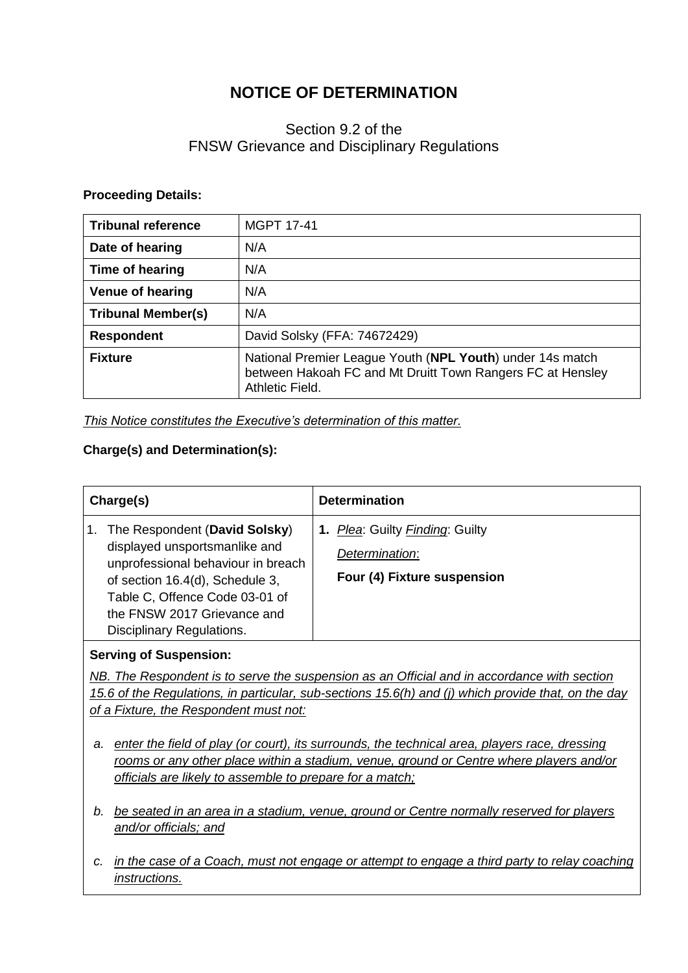# **NOTICE OF DETERMINATION**

# Section 9.2 of the FNSW Grievance and Disciplinary Regulations

#### **Proceeding Details:**

| <b>Tribunal reference</b> | <b>MGPT 17-41</b>                                                                                                                          |
|---------------------------|--------------------------------------------------------------------------------------------------------------------------------------------|
| Date of hearing           | N/A                                                                                                                                        |
| Time of hearing           | N/A                                                                                                                                        |
| <b>Venue of hearing</b>   | N/A                                                                                                                                        |
| <b>Tribunal Member(s)</b> | N/A                                                                                                                                        |
| <b>Respondent</b>         | David Solsky (FFA: 74672429)                                                                                                               |
| <b>Fixture</b>            | National Premier League Youth (NPL Youth) under 14s match<br>between Hakoah FC and Mt Druitt Town Rangers FC at Hensley<br>Athletic Field. |

*This Notice constitutes the Executive's determination of this matter.*

## **Charge(s) and Determination(s):**

| Charge(s)                                                                                                                                                                                                                                    | <b>Determination</b>                                                             |
|----------------------------------------------------------------------------------------------------------------------------------------------------------------------------------------------------------------------------------------------|----------------------------------------------------------------------------------|
| The Respondent (David Solsky)<br>displayed unsportsmanlike and<br>unprofessional behaviour in breach<br>of section 16.4(d), Schedule 3,<br>Table C, Offence Code 03-01 of<br>the FNSW 2017 Grievance and<br><b>Disciplinary Regulations.</b> | 1. Plea: Guilty Finding: Guilty<br>Determination:<br>Four (4) Fixture suspension |

### **Serving of Suspension:**

*NB. The Respondent is to serve the suspension as an Official and in accordance with section 15.6 of the Regulations, in particular, sub-sections 15.6(h) and (j) which provide that, on the day of a Fixture, the Respondent must not:*

- *a. enter the field of play (or court), its surrounds, the technical area, players race, dressing rooms or any other place within a stadium, venue, ground or Centre where players and/or officials are likely to assemble to prepare for a match;*
- *b. be seated in an area in a stadium, venue, ground or Centre normally reserved for players and/or officials; and*
- *c. in the case of a Coach, must not engage or attempt to engage a third party to relay coaching instructions.*